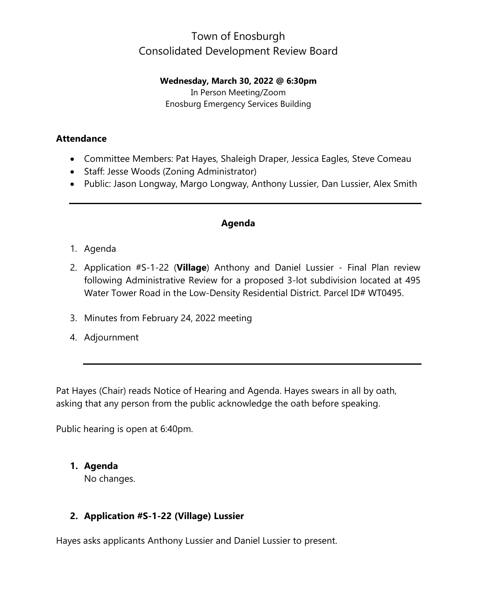# Town of Enosburgh Consolidated Development Review Board

**Wednesday, March 30, 2022 @ 6:30pm**

In Person Meeting/Zoom Enosburg Emergency Services Building

#### **Attendance**

- Committee Members: Pat Hayes, Shaleigh Draper, Jessica Eagles, Steve Comeau
- Staff: Jesse Woods (Zoning Administrator)
- Public: Jason Longway, Margo Longway, Anthony Lussier, Dan Lussier, Alex Smith

#### **Agenda**

### 1. Agenda

- 2. Application #S-1-22 (**Village**) Anthony and Daniel Lussier Final Plan review following Administrative Review for a proposed 3-lot subdivision located at 495 Water Tower Road in the Low-Density Residential District. Parcel ID# WT0495.
- 3. Minutes from February 24, 2022 meeting
- 4. Adjournment

Pat Hayes (Chair) reads Notice of Hearing and Agenda. Hayes swears in all by oath, asking that any person from the public acknowledge the oath before speaking.

Public hearing is open at 6:40pm.

### **1. Agenda**

No changes.

### **2. Application #S-1-22 (Village) Lussier**

Hayes asks applicants Anthony Lussier and Daniel Lussier to present.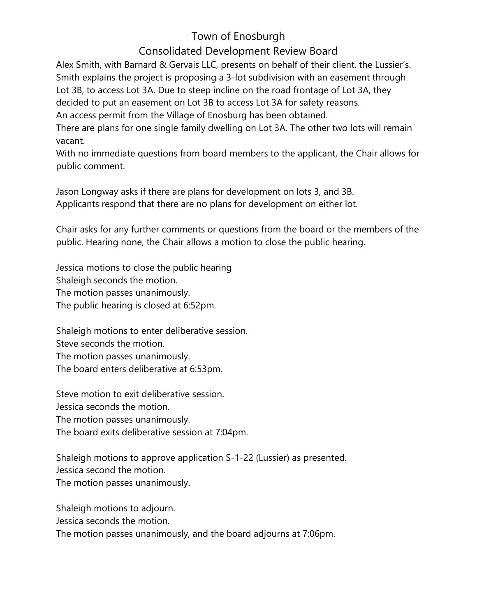# Town of Enosburgh

## Consolidated Development Review Board

Alex Smith, with Barnard & Gervais LLC, presents on behalf of their client, the Lussier's. Smith explains the project is proposing a 3-lot subdivision with an easement through Lot 3B, to access Lot 3A. Due to steep incline on the road frontage of Lot 3A, they decided to put an easement on Lot 3B to access Lot 3A for safety reasons.

An access permit from the Village of Enosburg has been obtained.

There are plans for one single family dwelling on Lot 3A. The other two lots will remain vacant.

With no immediate questions from board members to the applicant, the Chair allows for public comment.

Jason Longway asks if there are plans for development on lots 3, and 3B. Applicants respond that there are no plans for development on either lot.

Chair asks for any further comments or questions from the board or the members of the public. Hearing none, the Chair allows a motion to close the public hearing.

Jessica motions to close the public hearing Shaleigh seconds the motion. The motion passes unanimously. The public hearing is closed at 6:52pm.

Shaleigh motions to enter deliberative session. Steve seconds the motion. The motion passes unanimously. The board enters deliberative at 6:53pm.

Steve motion to exit deliberative session. Jessica seconds the motion. The motion passes unanimously. The board exits deliberative session at 7:04pm.

Shaleigh motions to approve application S-1-22 (Lussier) as presented. Jessica second the motion. The motion passes unanimously.

Shaleigh motions to adjourn.

Jessica seconds the motion.

The motion passes unanimously, and the board adjourns at 7:06pm.